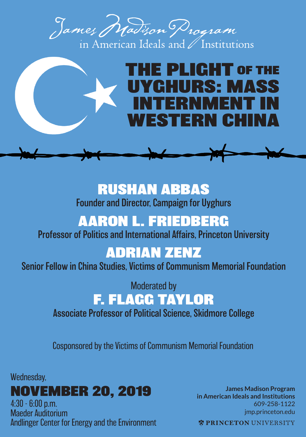

# THE PLIGHT OF THE GHURS: MASS INTERNMENT IN SSTERNI

### RUSHAN ABBAS

Founder and Director, Campaign for Uyghurs

# AARON L. FRIEDBERG

Professor of Politics and International Affairs, Princeton University

## ADRIAN ZENZ

Senior Fellow in China Studies, Victims of Communism Memorial Foundation

#### Moderated by F. FLAGG TAYLOR

Associate Professor of Political Science, Skidmore College

Cosponsored by the Victims of Communism Memorial Foundation

Wednesday,

## NOVEMBER 20, 2019

4:30 - 6:00 p.m. Maeder Auditorium Andlinger Center for Energy and the Environment

**James Madison Program in American Ideals and Institutions** 609-258-1122 jmp.princeton.edu

**WPRINCETON UNIVERSITY**